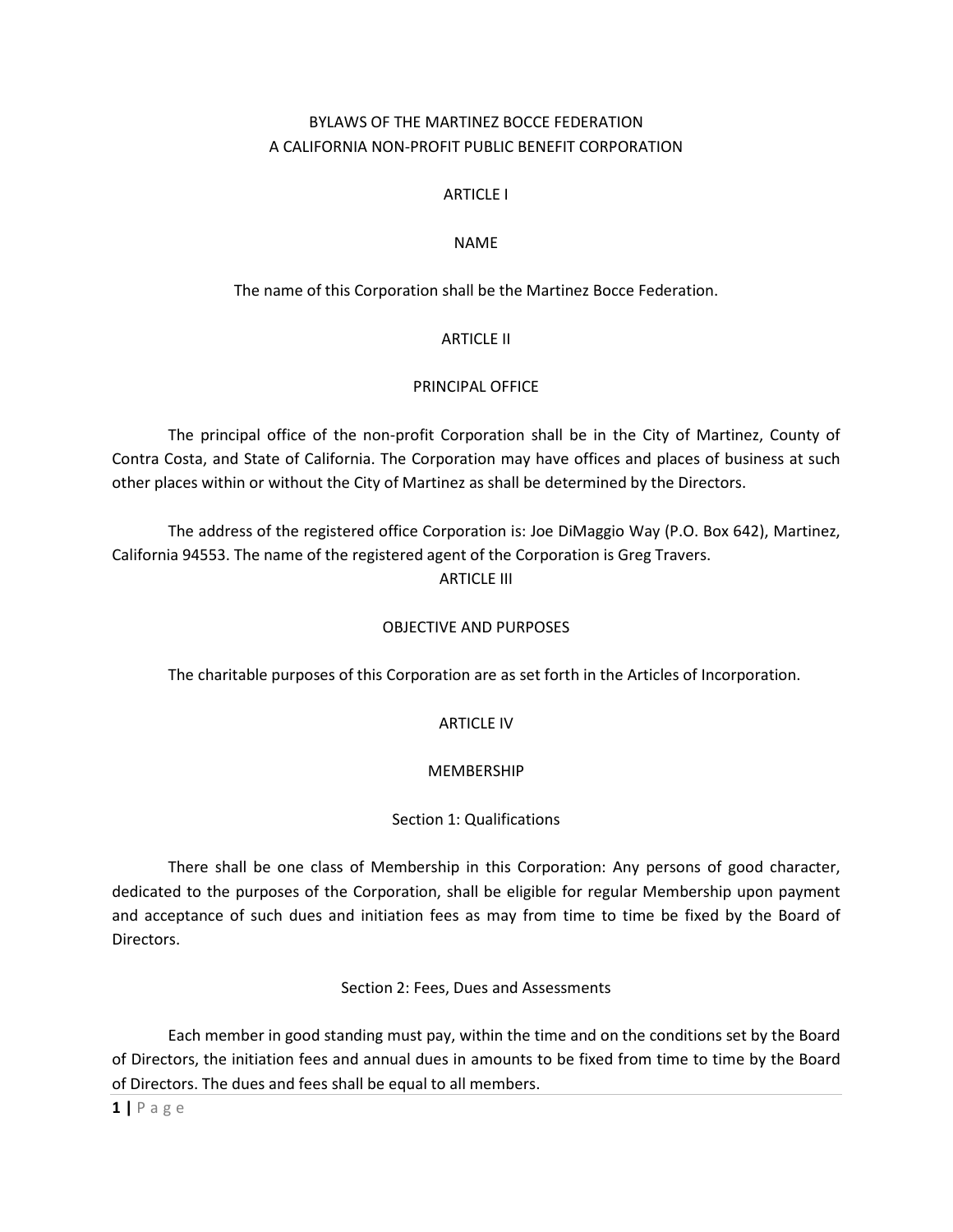### BYLAWS OF THE MARTINEZ BOCCE FEDERATION A CALIFORNIA NON-PROFIT PUBLIC BENEFIT CORPORATION

#### ARTICLE I

#### NAME

### The name of this Corporation shall be the Martinez Bocce Federation.

#### ARTICLE II

#### PRINCIPAL OFFICE

 The principal office of the non-profit Corporation shall be in the City of Martinez, County of Contra Costa, and State of California. The Corporation may have offices and places of business at such other places within or without the City of Martinez as shall be determined by the Directors.

 The address of the registered office Corporation is: Joe DiMaggio Way (P.O. Box 642), Martinez, California 94553. The name of the registered agent of the Corporation is Greg Travers.

# ARTICLE III

#### OBJECTIVE AND PURPOSES

The charitable purposes of this Corporation are as set forth in the Articles of Incorporation.

#### ARTICLE IV

#### MEMBERSHIP

#### Section 1: Qualifications

 There shall be one class of Membership in this Corporation: Any persons of good character, dedicated to the purposes of the Corporation, shall be eligible for regular Membership upon payment and acceptance of such dues and initiation fees as may from time to time be fixed by the Board of Directors.

#### Section 2: Fees, Dues and Assessments

 Each member in good standing must pay, within the time and on the conditions set by the Board of Directors, the initiation fees and annual dues in amounts to be fixed from time to time by the Board of Directors. The dues and fees shall be equal to all members.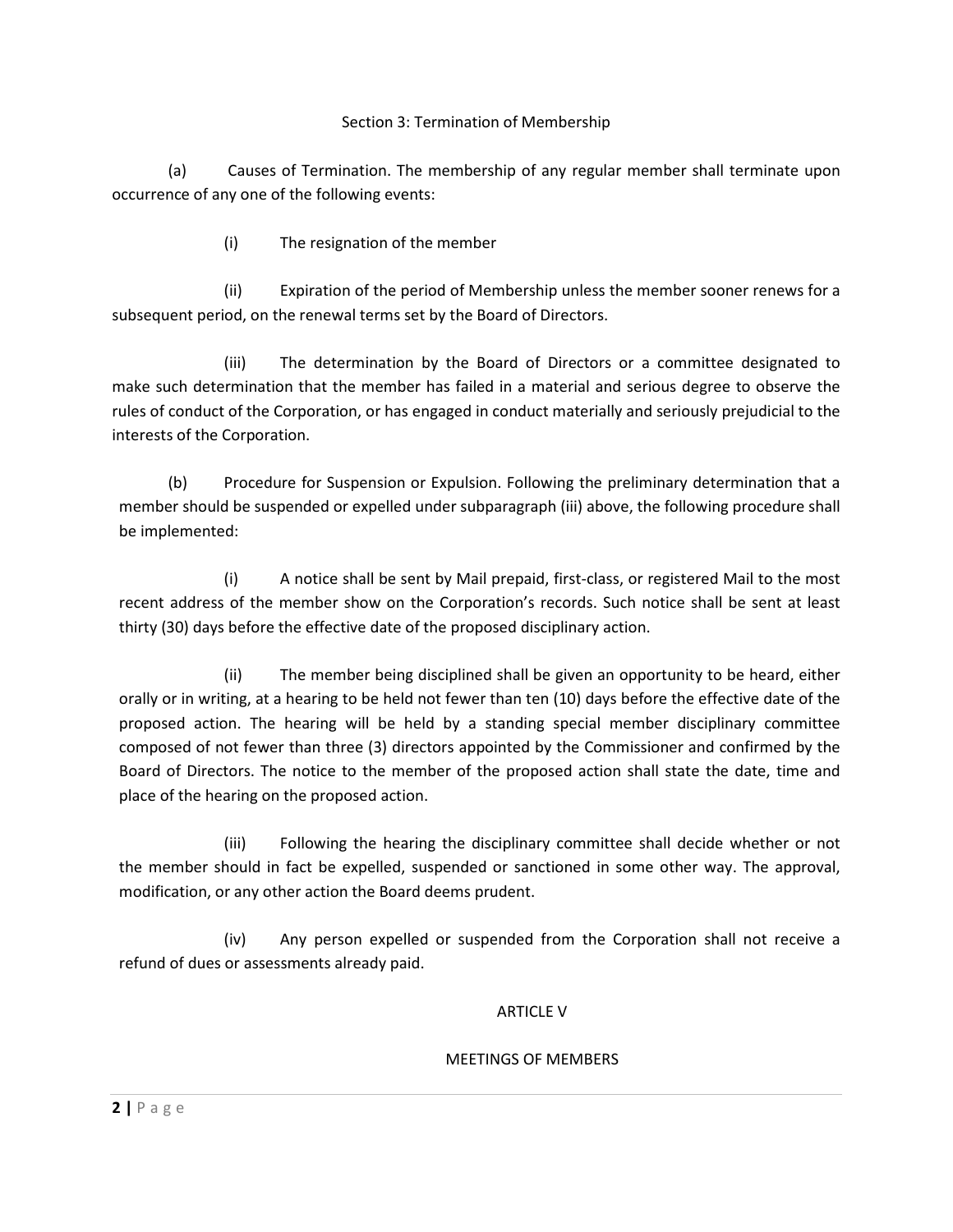#### Section 3: Termination of Membership

(a) Causes of Termination. The membership of any regular member shall terminate upon occurrence of any one of the following events:

(i) The resignation of the member

(ii) Expiration of the period of Membership unless the member sooner renews for a subsequent period, on the renewal terms set by the Board of Directors.

(iii) The determination by the Board of Directors or a committee designated to make such determination that the member has failed in a material and serious degree to observe the rules of conduct of the Corporation, or has engaged in conduct materially and seriously prejudicial to the interests of the Corporation.

(b) Procedure for Suspension or Expulsion. Following the preliminary determination that a member should be suspended or expelled under subparagraph (iii) above, the following procedure shall be implemented:

(i) A notice shall be sent by Mail prepaid, first-class, or registered Mail to the most recent address of the member show on the Corporation's records. Such notice shall be sent at least thirty (30) days before the effective date of the proposed disciplinary action.

(ii) The member being disciplined shall be given an opportunity to be heard, either orally or in writing, at a hearing to be held not fewer than ten (10) days before the effective date of the proposed action. The hearing will be held by a standing special member disciplinary committee composed of not fewer than three (3) directors appointed by the Commissioner and confirmed by the Board of Directors. The notice to the member of the proposed action shall state the date, time and place of the hearing on the proposed action.

(iii) Following the hearing the disciplinary committee shall decide whether or not the member should in fact be expelled, suspended or sanctioned in some other way. The approval, modification, or any other action the Board deems prudent.

(iv) Any person expelled or suspended from the Corporation shall not receive a refund of dues or assessments already paid.

#### ARTICLE V

#### MEETINGS OF MEMBERS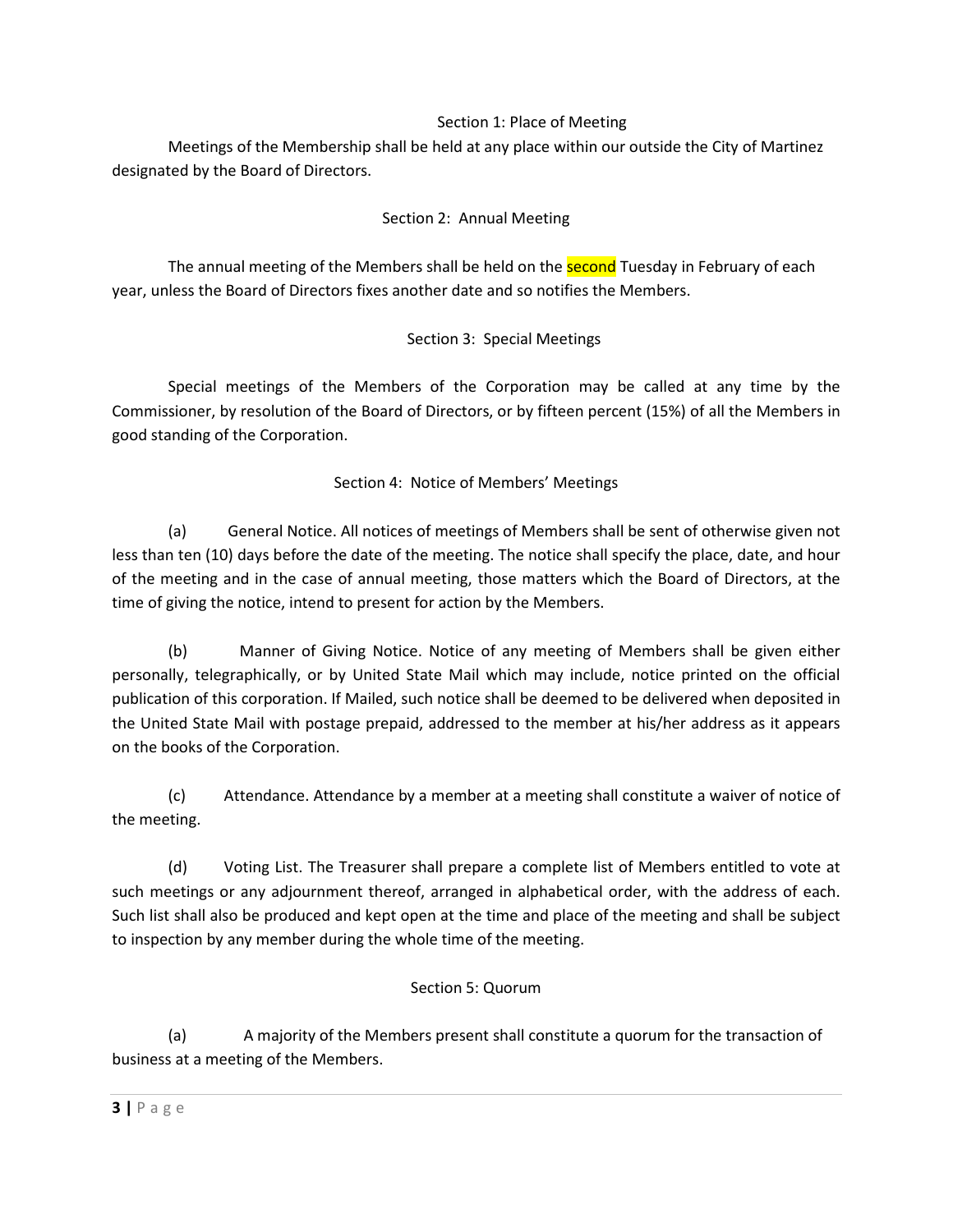#### Section 1: Place of Meeting

 Meetings of the Membership shall be held at any place within our outside the City of Martinez designated by the Board of Directors.

### Section 2: Annual Meeting

The annual meeting of the Members shall be held on the **second** Tuesday in February of each year, unless the Board of Directors fixes another date and so notifies the Members.

### Section 3: Special Meetings

 Special meetings of the Members of the Corporation may be called at any time by the Commissioner, by resolution of the Board of Directors, or by fifteen percent (15%) of all the Members in good standing of the Corporation.

### Section 4: Notice of Members' Meetings

(a) General Notice. All notices of meetings of Members shall be sent of otherwise given not less than ten (10) days before the date of the meeting. The notice shall specify the place, date, and hour of the meeting and in the case of annual meeting, those matters which the Board of Directors, at the time of giving the notice, intend to present for action by the Members.

(b) Manner of Giving Notice. Notice of any meeting of Members shall be given either personally, telegraphically, or by United State Mail which may include, notice printed on the official publication of this corporation. If Mailed, such notice shall be deemed to be delivered when deposited in the United State Mail with postage prepaid, addressed to the member at his/her address as it appears on the books of the Corporation.

(c) Attendance. Attendance by a member at a meeting shall constitute a waiver of notice of the meeting.

(d) Voting List. The Treasurer shall prepare a complete list of Members entitled to vote at such meetings or any adjournment thereof, arranged in alphabetical order, with the address of each. Such list shall also be produced and kept open at the time and place of the meeting and shall be subject to inspection by any member during the whole time of the meeting.

#### Section 5: Quorum

(a) A majority of the Members present shall constitute a quorum for the transaction of business at a meeting of the Members.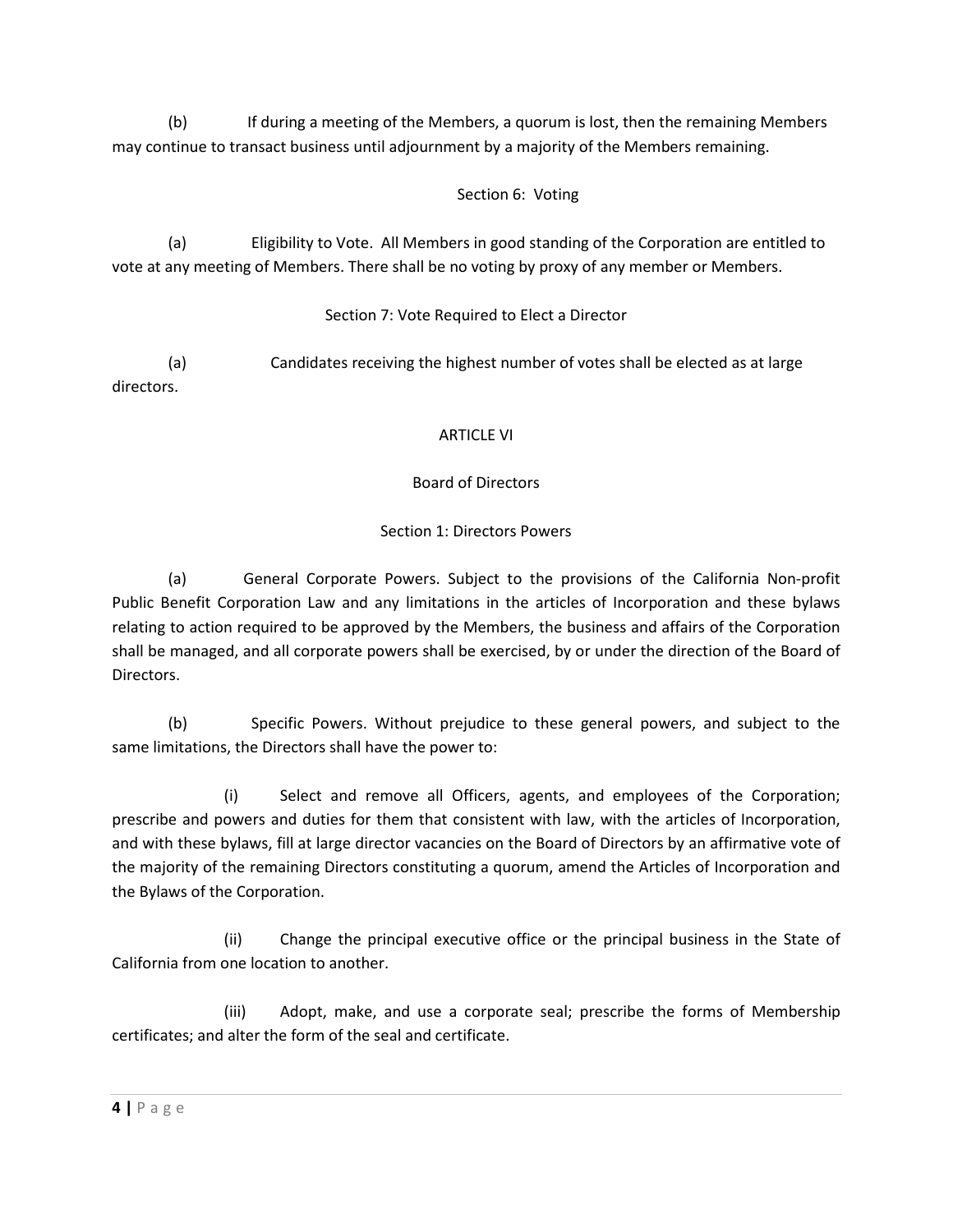(b) If during a meeting of the Members, a quorum is lost, then the remaining Members may continue to transact business until adjournment by a majority of the Members remaining.

# Section 6: Voting

(a) Eligibility to Vote. All Members in good standing of the Corporation are entitled to vote at any meeting of Members. There shall be no voting by proxy of any member or Members.

# Section 7: Vote Required to Elect a Director

(a) Candidates receiving the highest number of votes shall be elected as at large directors.

### ARTICLE VI

# Board of Directors

# Section 1: Directors Powers

(a) General Corporate Powers. Subject to the provisions of the California Non-profit Public Benefit Corporation Law and any limitations in the articles of Incorporation and these bylaws relating to action required to be approved by the Members, the business and affairs of the Corporation shall be managed, and all corporate powers shall be exercised, by or under the direction of the Board of Directors.

(b) Specific Powers. Without prejudice to these general powers, and subject to the same limitations, the Directors shall have the power to:

(i) Select and remove all Officers, agents, and employees of the Corporation; prescribe and powers and duties for them that consistent with law, with the articles of Incorporation, and with these bylaws, fill at large director vacancies on the Board of Directors by an affirmative vote of the majority of the remaining Directors constituting a quorum, amend the Articles of Incorporation and the Bylaws of the Corporation.

(ii) Change the principal executive office or the principal business in the State of California from one location to another.

(iii) Adopt, make, and use a corporate seal; prescribe the forms of Membership certificates; and alter the form of the seal and certificate.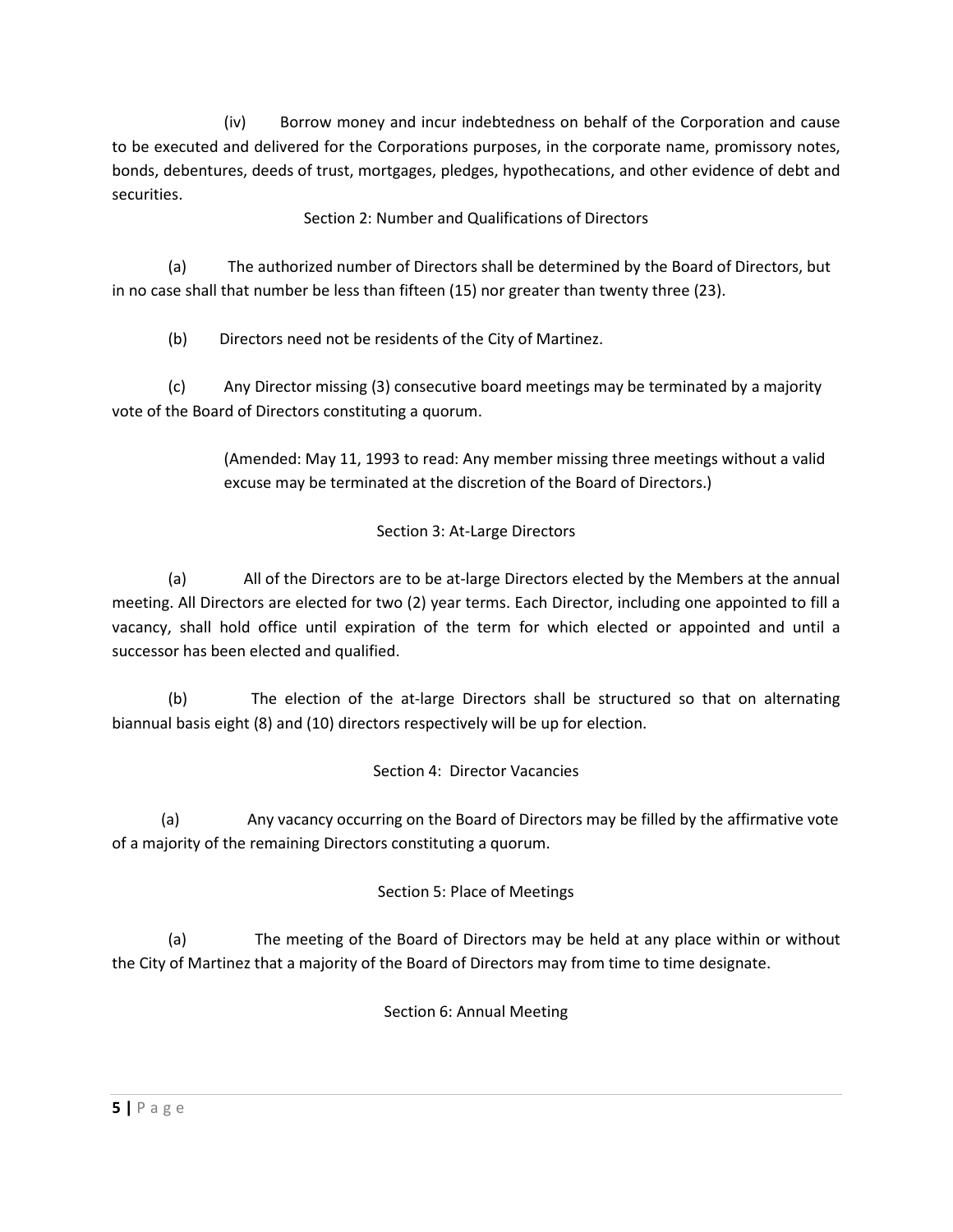(iv) Borrow money and incur indebtedness on behalf of the Corporation and cause to be executed and delivered for the Corporations purposes, in the corporate name, promissory notes, bonds, debentures, deeds of trust, mortgages, pledges, hypothecations, and other evidence of debt and securities.

Section 2: Number and Qualifications of Directors

(a) The authorized number of Directors shall be determined by the Board of Directors, but in no case shall that number be less than fifteen (15) nor greater than twenty three (23).

(b) Directors need not be residents of the City of Martinez.

(c) Any Director missing (3) consecutive board meetings may be terminated by a majority vote of the Board of Directors constituting a quorum.

> (Amended: May 11, 1993 to read: Any member missing three meetings without a valid excuse may be terminated at the discretion of the Board of Directors.)

# Section 3: At-Large Directors

(a) All of the Directors are to be at-large Directors elected by the Members at the annual meeting. All Directors are elected for two (2) year terms. Each Director, including one appointed to fill a vacancy, shall hold office until expiration of the term for which elected or appointed and until a successor has been elected and qualified.

(b) The election of the at-large Directors shall be structured so that on alternating biannual basis eight (8) and (10) directors respectively will be up for election.

# Section 4: Director Vacancies

(a) Any vacancy occurring on the Board of Directors may be filled by the affirmative vote of a majority of the remaining Directors constituting a quorum.

# Section 5: Place of Meetings

(a) The meeting of the Board of Directors may be held at any place within or without the City of Martinez that a majority of the Board of Directors may from time to time designate.

Section 6: Annual Meeting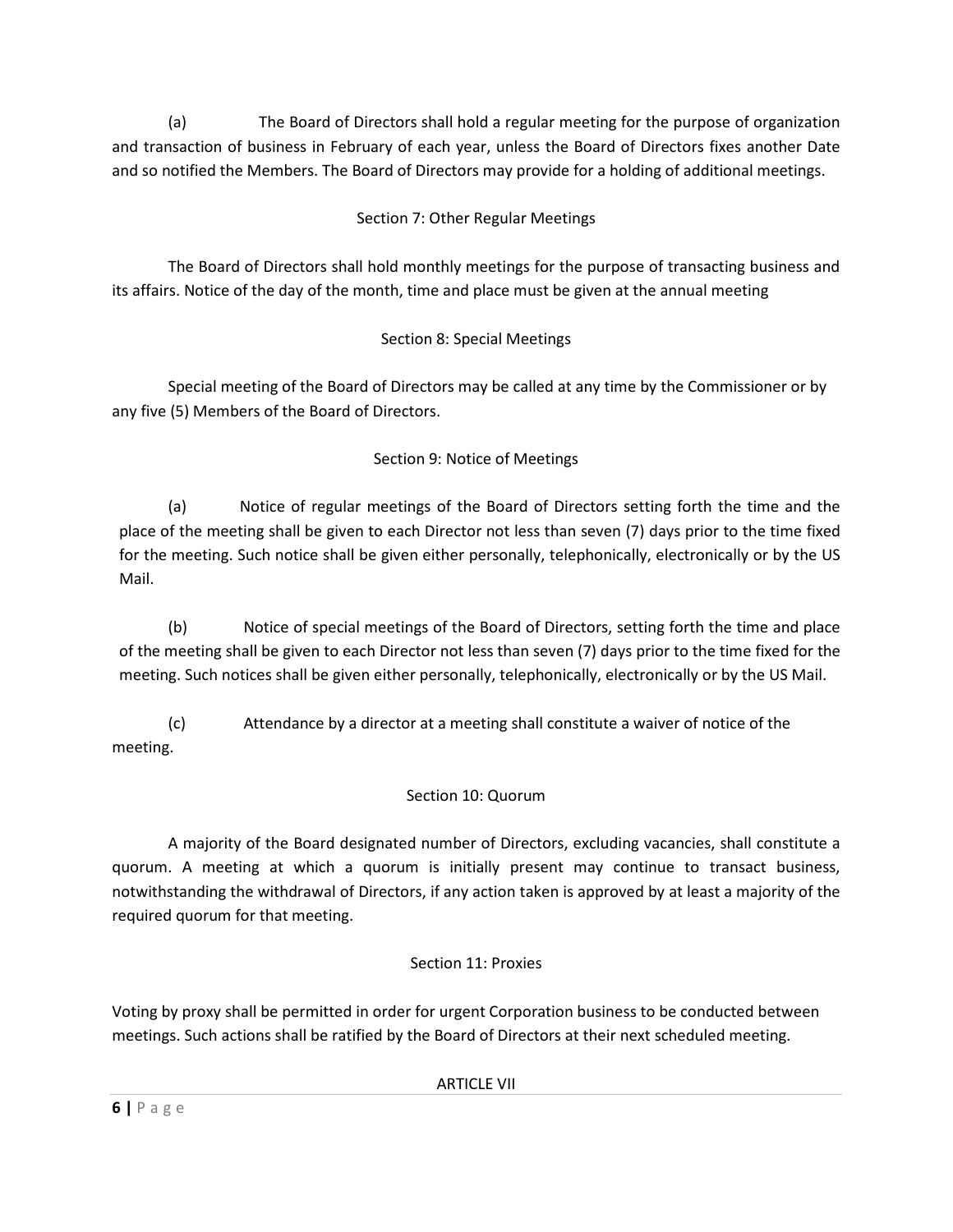(a) The Board of Directors shall hold a regular meeting for the purpose of organization and transaction of business in February of each year, unless the Board of Directors fixes another Date and so notified the Members. The Board of Directors may provide for a holding of additional meetings.

# Section 7: Other Regular Meetings

 The Board of Directors shall hold monthly meetings for the purpose of transacting business and its affairs. Notice of the day of the month, time and place must be given at the annual meeting

# Section 8: Special Meetings

 Special meeting of the Board of Directors may be called at any time by the Commissioner or by any five (5) Members of the Board of Directors.

# Section 9: Notice of Meetings

(a) Notice of regular meetings of the Board of Directors setting forth the time and the place of the meeting shall be given to each Director not less than seven (7) days prior to the time fixed for the meeting. Such notice shall be given either personally, telephonically, electronically or by the US Mail.

(b) Notice of special meetings of the Board of Directors, setting forth the time and place of the meeting shall be given to each Director not less than seven (7) days prior to the time fixed for the meeting. Such notices shall be given either personally, telephonically, electronically or by the US Mail.

(c) Attendance by a director at a meeting shall constitute a waiver of notice of the meeting.

# Section 10: Quorum

 A majority of the Board designated number of Directors, excluding vacancies, shall constitute a quorum. A meeting at which a quorum is initially present may continue to transact business, notwithstanding the withdrawal of Directors, if any action taken is approved by at least a majority of the required quorum for that meeting.

# Section 11: Proxies

Voting by proxy shall be permitted in order for urgent Corporation business to be conducted between meetings. Such actions shall be ratified by the Board of Directors at their next scheduled meeting.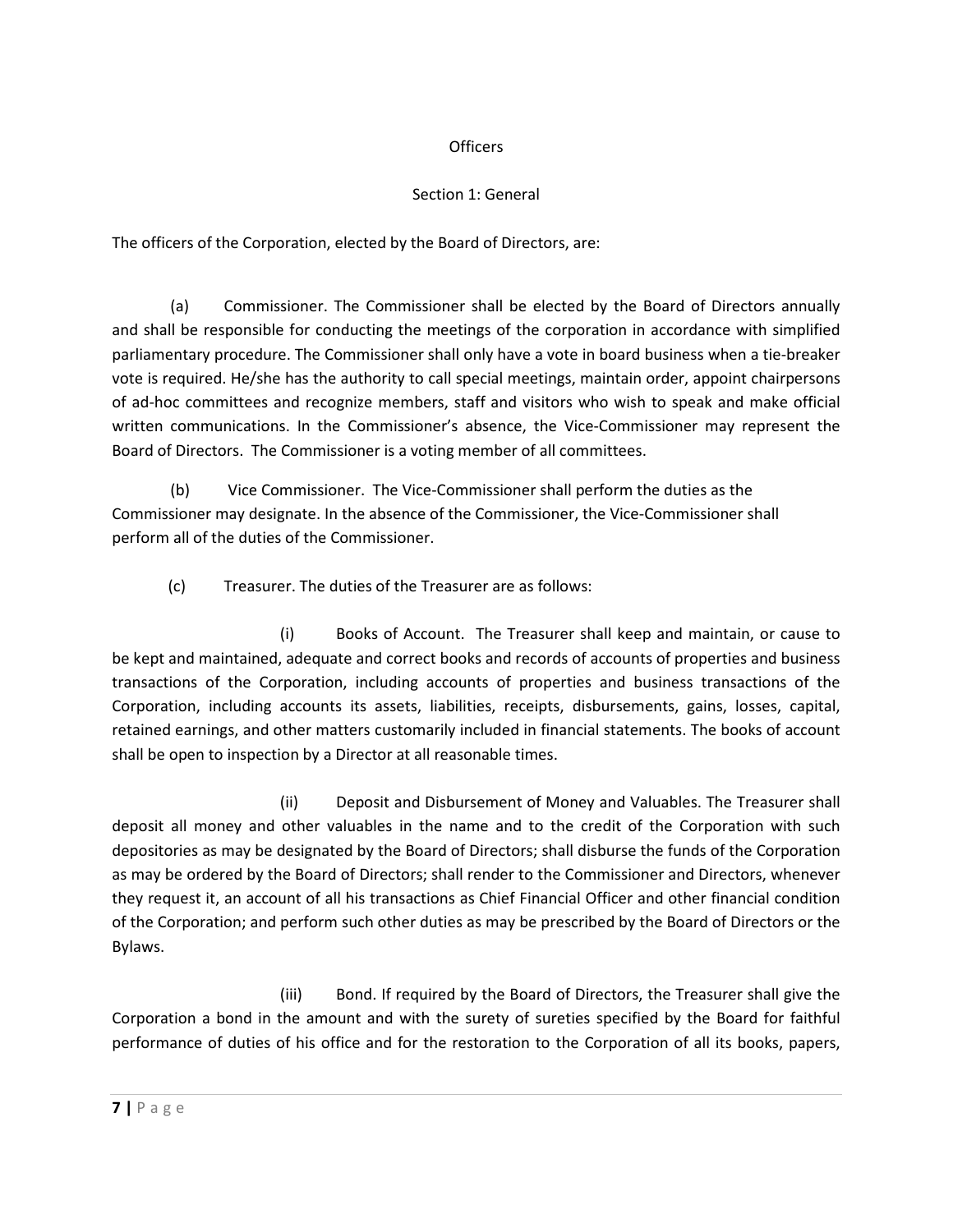### **Officers**

# Section 1: General

The officers of the Corporation, elected by the Board of Directors, are:

(a) Commissioner. The Commissioner shall be elected by the Board of Directors annually and shall be responsible for conducting the meetings of the corporation in accordance with simplified parliamentary procedure. The Commissioner shall only have a vote in board business when a tie-breaker vote is required. He/she has the authority to call special meetings, maintain order, appoint chairpersons of ad-hoc committees and recognize members, staff and visitors who wish to speak and make official written communications. In the Commissioner's absence, the Vice-Commissioner may represent the Board of Directors. The Commissioner is a voting member of all committees.

(b) Vice Commissioner. The Vice-Commissioner shall perform the duties as the Commissioner may designate. In the absence of the Commissioner, the Vice-Commissioner shall perform all of the duties of the Commissioner.

(c) Treasurer. The duties of the Treasurer are as follows:

(i) Books of Account. The Treasurer shall keep and maintain, or cause to be kept and maintained, adequate and correct books and records of accounts of properties and business transactions of the Corporation, including accounts of properties and business transactions of the Corporation, including accounts its assets, liabilities, receipts, disbursements, gains, losses, capital, retained earnings, and other matters customarily included in financial statements. The books of account shall be open to inspection by a Director at all reasonable times.

(ii) Deposit and Disbursement of Money and Valuables. The Treasurer shall deposit all money and other valuables in the name and to the credit of the Corporation with such depositories as may be designated by the Board of Directors; shall disburse the funds of the Corporation as may be ordered by the Board of Directors; shall render to the Commissioner and Directors, whenever they request it, an account of all his transactions as Chief Financial Officer and other financial condition of the Corporation; and perform such other duties as may be prescribed by the Board of Directors or the Bylaws.

(iii) Bond. If required by the Board of Directors, the Treasurer shall give the Corporation a bond in the amount and with the surety of sureties specified by the Board for faithful performance of duties of his office and for the restoration to the Corporation of all its books, papers,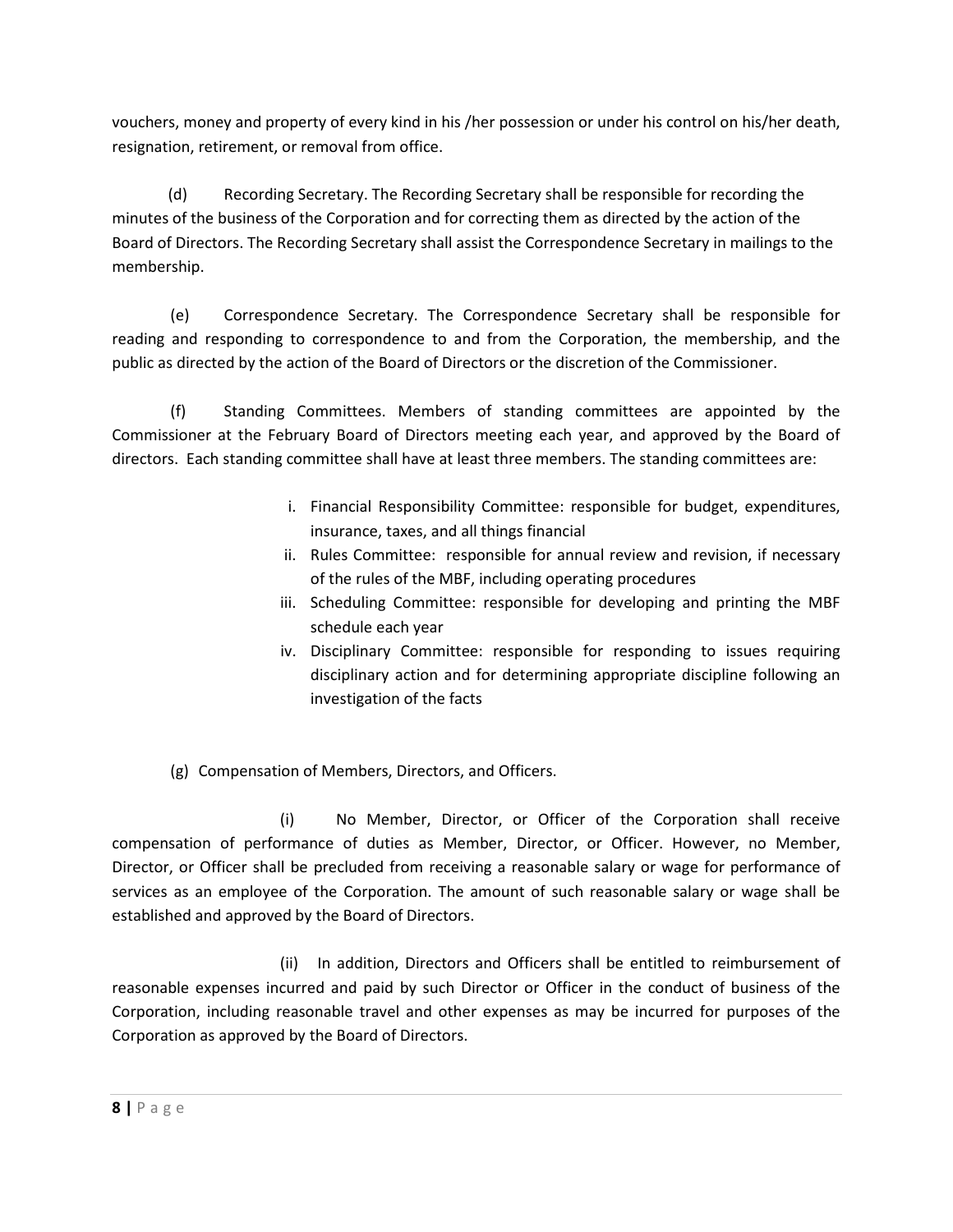vouchers, money and property of every kind in his /her possession or under his control on his/her death, resignation, retirement, or removal from office.

(d) Recording Secretary. The Recording Secretary shall be responsible for recording the minutes of the business of the Corporation and for correcting them as directed by the action of the Board of Directors. The Recording Secretary shall assist the Correspondence Secretary in mailings to the membership.

(e) Correspondence Secretary. The Correspondence Secretary shall be responsible for reading and responding to correspondence to and from the Corporation, the membership, and the public as directed by the action of the Board of Directors or the discretion of the Commissioner.

(f) Standing Committees. Members of standing committees are appointed by the Commissioner at the February Board of Directors meeting each year, and approved by the Board of directors. Each standing committee shall have at least three members. The standing committees are:

- i. Financial Responsibility Committee: responsible for budget, expenditures, insurance, taxes, and all things financial
- ii. Rules Committee: responsible for annual review and revision, if necessary of the rules of the MBF, including operating procedures
- iii. Scheduling Committee: responsible for developing and printing the MBF schedule each year
- iv. Disciplinary Committee: responsible for responding to issues requiring disciplinary action and for determining appropriate discipline following an investigation of the facts

(g) Compensation of Members, Directors, and Officers.

(i) No Member, Director, or Officer of the Corporation shall receive compensation of performance of duties as Member, Director, or Officer. However, no Member, Director, or Officer shall be precluded from receiving a reasonable salary or wage for performance of services as an employee of the Corporation. The amount of such reasonable salary or wage shall be established and approved by the Board of Directors.

(ii) In addition, Directors and Officers shall be entitled to reimbursement of reasonable expenses incurred and paid by such Director or Officer in the conduct of business of the Corporation, including reasonable travel and other expenses as may be incurred for purposes of the Corporation as approved by the Board of Directors.